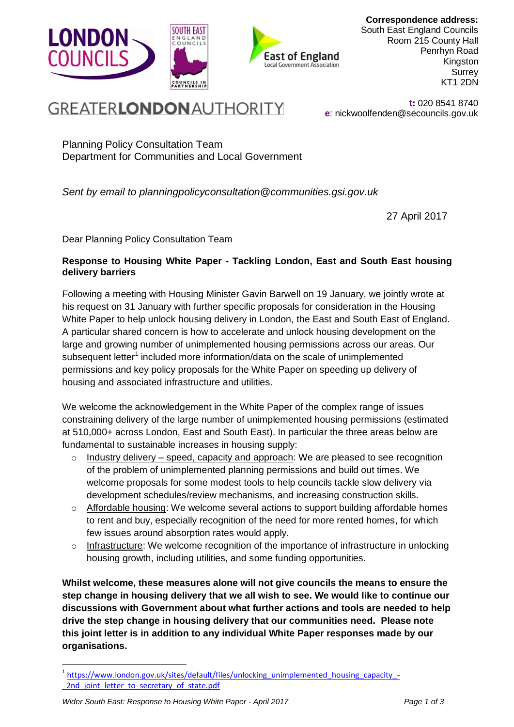

**Correspondence address:** South East England Councils Room 215 County Hall Penrhyn Road Kingston **Surrey** KT1 2DN

# **GREATERLONDON AUTHORITY**

**t:** 020 8541 8740 **e**: nickwoolfenden@secouncils.gov.uk

Planning Policy Consultation Team Department for Communities and Local Government

*Sent by email to planningpolicyconsultation@communities.gsi.gov.uk*

27 April 2017

Dear Planning Policy Consultation Team

# **Response to Housing White Paper - Tackling London, East and South East housing delivery barriers**

Following a meeting with Housing Minister Gavin Barwell on 19 January, we jointly wrote at his request on 31 January with further specific proposals for consideration in the Housing White Paper to help unlock housing delivery in London, the East and South East of England. A particular shared concern is how to accelerate and unlock housing development on the large and growing number of unimplemented housing permissions across our areas. Our subsequent letter<sup>1</sup> included more information/data on the scale of unimplemented permissions and key policy proposals for the White Paper on speeding up delivery of housing and associated infrastructure and utilities.

We welcome the acknowledgement in the White Paper of the complex range of issues constraining delivery of the large number of unimplemented housing permissions (estimated at 510,000+ across London, East and South East). In particular the three areas below are fundamental to sustainable increases in housing supply:

- $\circ$  Industry delivery speed, capacity and approach: We are pleased to see recognition of the problem of unimplemented planning permissions and build out times. We welcome proposals for some modest tools to help councils tackle slow delivery via development schedules/review mechanisms, and increasing construction skills.
- o Affordable housing: We welcome several actions to support building affordable homes to rent and buy, especially recognition of the need for more rented homes, for which few issues around absorption rates would apply.
- $\circ$  Infrastructure: We welcome recognition of the importance of infrastructure in unlocking housing growth, including utilities, and some funding opportunities.

**Whilst welcome, these measures alone will not give councils the means to ensure the step change in housing delivery that we all wish to see. We would like to continue our discussions with Government about what further actions and tools are needed to help drive the step change in housing delivery that our communities need. Please note this joint letter is in addition to any individual White Paper responses made by our organisations.**

1

<sup>&</sup>lt;sup>1</sup> [https://www.london.gov.uk/sites/default/files/unlocking\\_unimplemented\\_housing\\_capacity\\_-](https://www.london.gov.uk/sites/default/files/unlocking_unimplemented_housing_capacity_-_2nd_joint_letter_to_secretary_of_state.pdf) 2nd joint letter to secretary of state.pdf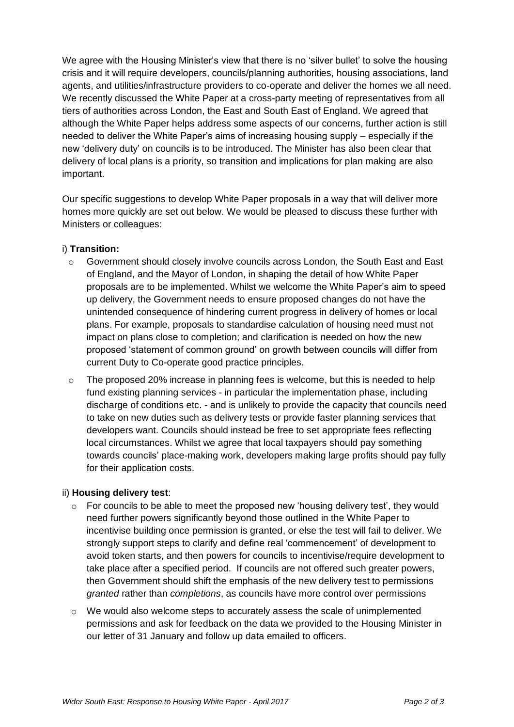We agree with the Housing Minister's view that there is no 'silver bullet' to solve the housing crisis and it will require developers, councils/planning authorities, housing associations, land agents, and utilities/infrastructure providers to co-operate and deliver the homes we all need. We recently discussed the White Paper at a cross-party meeting of representatives from all tiers of authorities across London, the East and South East of England. We agreed that although the White Paper helps address some aspects of our concerns, further action is still needed to deliver the White Paper's aims of increasing housing supply – especially if the new 'delivery duty' on councils is to be introduced. The Minister has also been clear that delivery of local plans is a priority, so transition and implications for plan making are also important.

Our specific suggestions to develop White Paper proposals in a way that will deliver more homes more quickly are set out below. We would be pleased to discuss these further with Ministers or colleagues:

# i) **Transition:**

- $\circ$  Government should closely involve councils across London, the South East and East of England, and the Mayor of London, in shaping the detail of how White Paper proposals are to be implemented. Whilst we welcome the White Paper's aim to speed up delivery, the Government needs to ensure proposed changes do not have the unintended consequence of hindering current progress in delivery of homes or local plans. For example, proposals to standardise calculation of housing need must not impact on plans close to completion; and clarification is needed on how the new proposed 'statement of common ground' on growth between councils will differ from current Duty to Co-operate good practice principles.
- $\circ$  The proposed 20% increase in planning fees is welcome, but this is needed to help fund existing planning services - in particular the implementation phase, including discharge of conditions etc. - and is unlikely to provide the capacity that councils need to take on new duties such as delivery tests or provide faster planning services that developers want. Councils should instead be free to set appropriate fees reflecting local circumstances. Whilst we agree that local taxpayers should pay something towards councils' place-making work, developers making large profits should pay fully for their application costs.

### ii) **Housing delivery test**:

- $\circ$  For councils to be able to meet the proposed new 'housing delivery test', they would need further powers significantly beyond those outlined in the White Paper to incentivise building once permission is granted, or else the test will fail to deliver. We strongly support steps to clarify and define real 'commencement' of development to avoid token starts, and then powers for councils to incentivise/require development to take place after a specified period. If councils are not offered such greater powers, then Government should shift the emphasis of the new delivery test to permissions *granted* rather than *completions*, as councils have more control over permissions
- $\circ$  We would also welcome steps to accurately assess the scale of unimplemented permissions and ask for feedback on the data we provided to the Housing Minister in our letter of 31 January and follow up data emailed to officers.